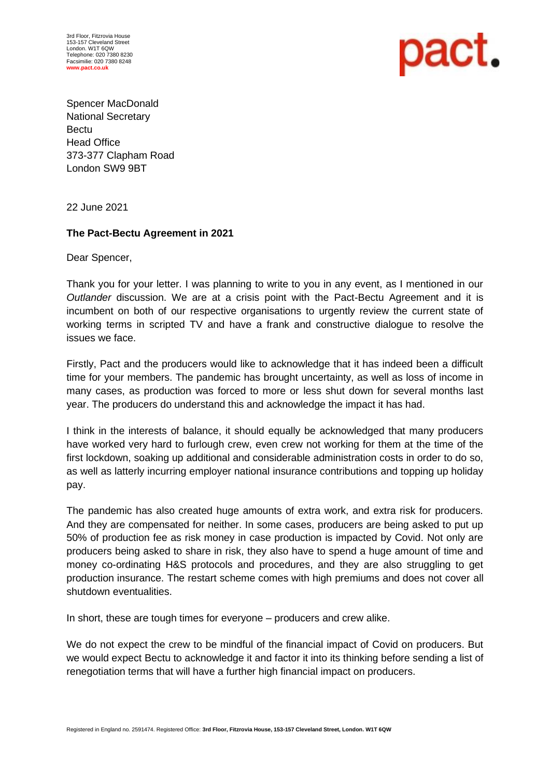3rd Floor, Fitzrovia House 153-157 Cleveland Street London. W1T 6QW Telephone: 020 7380 8230 Facsimilie: 020 7380 8248 **[www.pact.co.uk](http://www.pact.co.uk/)**



Spencer MacDonald National Secretary **Bectu** Head Office 373-377 Clapham Road London SW9 9BT

22 June 2021

## **The Pact-Bectu Agreement in 2021**

Dear Spencer,

Thank you for your letter. I was planning to write to you in any event, as I mentioned in our *Outlander* discussion. We are at a crisis point with the Pact-Bectu Agreement and it is incumbent on both of our respective organisations to urgently review the current state of working terms in scripted TV and have a frank and constructive dialogue to resolve the issues we face.

Firstly, Pact and the producers would like to acknowledge that it has indeed been a difficult time for your members. The pandemic has brought uncertainty, as well as loss of income in many cases, as production was forced to more or less shut down for several months last year. The producers do understand this and acknowledge the impact it has had.

I think in the interests of balance, it should equally be acknowledged that many producers have worked very hard to furlough crew, even crew not working for them at the time of the first lockdown, soaking up additional and considerable administration costs in order to do so, as well as latterly incurring employer national insurance contributions and topping up holiday pay.

The pandemic has also created huge amounts of extra work, and extra risk for producers. And they are compensated for neither. In some cases, producers are being asked to put up 50% of production fee as risk money in case production is impacted by Covid. Not only are producers being asked to share in risk, they also have to spend a huge amount of time and money co-ordinating H&S protocols and procedures, and they are also struggling to get production insurance. The restart scheme comes with high premiums and does not cover all shutdown eventualities.

In short, these are tough times for everyone – producers and crew alike.

We do not expect the crew to be mindful of the financial impact of Covid on producers. But we would expect Bectu to acknowledge it and factor it into its thinking before sending a list of renegotiation terms that will have a further high financial impact on producers.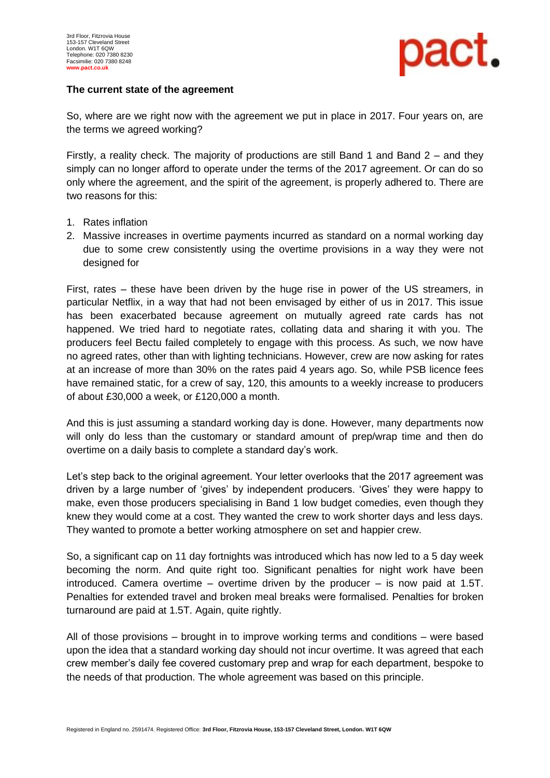

#### **The current state of the agreement**

So, where are we right now with the agreement we put in place in 2017. Four years on, are the terms we agreed working?

Firstly, a reality check. The majority of productions are still Band 1 and Band 2 – and they simply can no longer afford to operate under the terms of the 2017 agreement. Or can do so only where the agreement, and the spirit of the agreement, is properly adhered to. There are two reasons for this:

- 1. Rates inflation
- 2. Massive increases in overtime payments incurred as standard on a normal working day due to some crew consistently using the overtime provisions in a way they were not designed for

First, rates – these have been driven by the huge rise in power of the US streamers, in particular Netflix, in a way that had not been envisaged by either of us in 2017. This issue has been exacerbated because agreement on mutually agreed rate cards has not happened. We tried hard to negotiate rates, collating data and sharing it with you. The producers feel Bectu failed completely to engage with this process. As such, we now have no agreed rates, other than with lighting technicians. However, crew are now asking for rates at an increase of more than 30% on the rates paid 4 years ago. So, while PSB licence fees have remained static, for a crew of say, 120, this amounts to a weekly increase to producers of about £30,000 a week, or £120,000 a month.

And this is just assuming a standard working day is done. However, many departments now will only do less than the customary or standard amount of prep/wrap time and then do overtime on a daily basis to complete a standard day's work.

Let's step back to the original agreement. Your letter overlooks that the 2017 agreement was driven by a large number of 'gives' by independent producers. 'Gives' they were happy to make, even those producers specialising in Band 1 low budget comedies, even though they knew they would come at a cost. They wanted the crew to work shorter days and less days. They wanted to promote a better working atmosphere on set and happier crew.

So, a significant cap on 11 day fortnights was introduced which has now led to a 5 day week becoming the norm. And quite right too. Significant penalties for night work have been introduced. Camera overtime – overtime driven by the producer  $-$  is now paid at 1.5T. Penalties for extended travel and broken meal breaks were formalised. Penalties for broken turnaround are paid at 1.5T. Again, quite rightly.

All of those provisions – brought in to improve working terms and conditions – were based upon the idea that a standard working day should not incur overtime. It was agreed that each crew member's daily fee covered customary prep and wrap for each department, bespoke to the needs of that production. The whole agreement was based on this principle.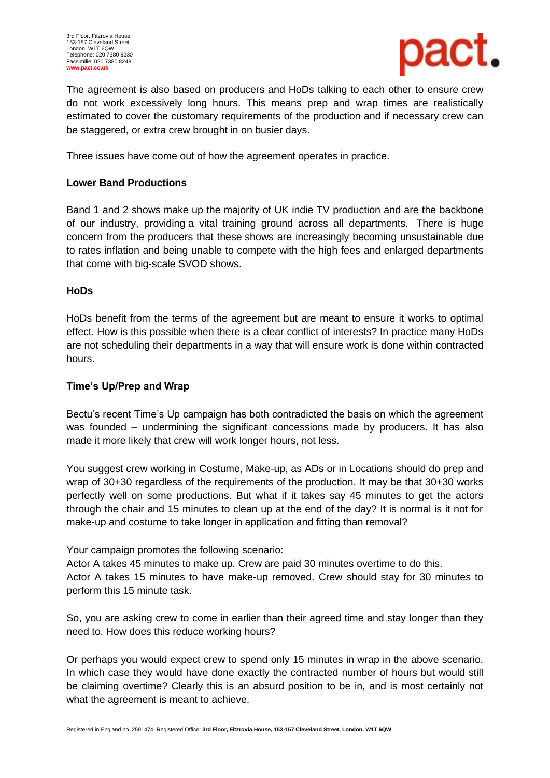

The agreement is also based on producers and HoDs talking to each other to ensure crew do not work excessively long hours. This means prep and wrap times are realistically estimated to cover the customary requirements of the production and if necessary crew can be staggered, or extra crew brought in on busier days.

Three issues have come out of how the agreement operates in practice.

## **Lower Band Productions**

Band 1 and 2 shows make up the majority of UK indie TV production and are the backbone of our industry, providing a vital training ground across all departments. There is huge concern from the producers that these shows are increasingly becoming unsustainable due to rates inflation and being unable to compete with the high fees and enlarged departments that come with big-scale SVOD shows.

# **HoDs**

HoDs benefit from the terms of the agreement but are meant to ensure it works to optimal effect. How is this possible when there is a clear conflict of interests? In practice many HoDs are not scheduling their departments in a way that will ensure work is done within contracted hours.

# **Time's Up/Prep and Wrap**

Bectu's recent Time's Up campaign has both contradicted the basis on which the agreement was founded – undermining the significant concessions made by producers. It has also made it more likely that crew will work longer hours, not less.

You suggest crew working in Costume, Make-up, as ADs or in Locations should do prep and wrap of 30+30 regardless of the requirements of the production. It may be that 30+30 works perfectly well on some productions. But what if it takes say 45 minutes to get the actors through the chair and 15 minutes to clean up at the end of the day? It is normal is it not for make-up and costume to take longer in application and fitting than removal?

Your campaign promotes the following scenario:

Actor A takes 45 minutes to make up. Crew are paid 30 minutes overtime to do this. Actor A takes 15 minutes to have make-up removed. Crew should stay for 30 minutes to perform this 15 minute task.

So, you are asking crew to come in earlier than their agreed time and stay longer than they need to. How does this reduce working hours?

Or perhaps you would expect crew to spend only 15 minutes in wrap in the above scenario. In which case they would have done exactly the contracted number of hours but would still be claiming overtime? Clearly this is an absurd position to be in, and is most certainly not what the agreement is meant to achieve.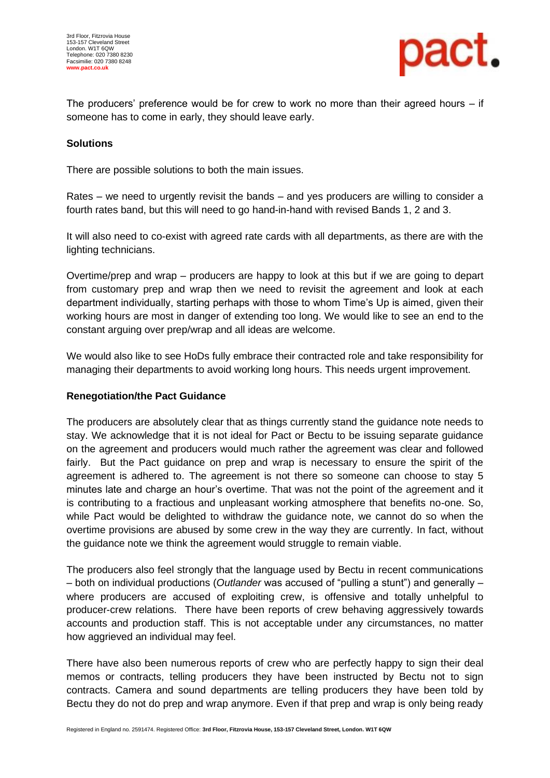

The producers' preference would be for crew to work no more than their agreed hours – if someone has to come in early, they should leave early.

## **Solutions**

There are possible solutions to both the main issues.

Rates – we need to urgently revisit the bands – and yes producers are willing to consider a fourth rates band, but this will need to go hand-in-hand with revised Bands 1, 2 and 3.

It will also need to co-exist with agreed rate cards with all departments, as there are with the lighting technicians.

Overtime/prep and wrap – producers are happy to look at this but if we are going to depart from customary prep and wrap then we need to revisit the agreement and look at each department individually, starting perhaps with those to whom Time's Up is aimed, given their working hours are most in danger of extending too long. We would like to see an end to the constant arguing over prep/wrap and all ideas are welcome.

We would also like to see HoDs fully embrace their contracted role and take responsibility for managing their departments to avoid working long hours. This needs urgent improvement.

## **Renegotiation/the Pact Guidance**

The producers are absolutely clear that as things currently stand the guidance note needs to stay. We acknowledge that it is not ideal for Pact or Bectu to be issuing separate guidance on the agreement and producers would much rather the agreement was clear and followed fairly. But the Pact guidance on prep and wrap is necessary to ensure the spirit of the agreement is adhered to. The agreement is not there so someone can choose to stay 5 minutes late and charge an hour's overtime. That was not the point of the agreement and it is contributing to a fractious and unpleasant working atmosphere that benefits no-one. So, while Pact would be delighted to withdraw the guidance note, we cannot do so when the overtime provisions are abused by some crew in the way they are currently. In fact, without the guidance note we think the agreement would struggle to remain viable.

The producers also feel strongly that the language used by Bectu in recent communications – both on individual productions (*Outlander* was accused of "pulling a stunt") and generally – where producers are accused of exploiting crew, is offensive and totally unhelpful to producer-crew relations. There have been reports of crew behaving aggressively towards accounts and production staff. This is not acceptable under any circumstances, no matter how aggrieved an individual may feel.

There have also been numerous reports of crew who are perfectly happy to sign their deal memos or contracts, telling producers they have been instructed by Bectu not to sign contracts. Camera and sound departments are telling producers they have been told by Bectu they do not do prep and wrap anymore. Even if that prep and wrap is only being ready